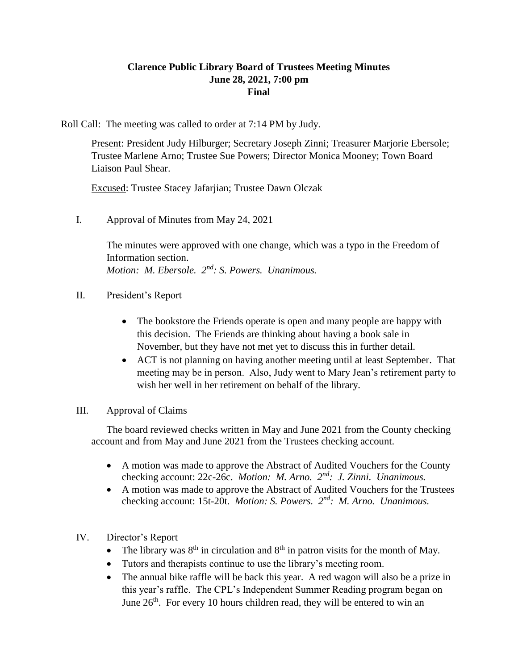## **Clarence Public Library Board of Trustees Meeting Minutes June 28, 2021, 7:00 pm Final**

Roll Call: The meeting was called to order at 7:14 PM by Judy.

Present: President Judy Hilburger; Secretary Joseph Zinni; Treasurer Marjorie Ebersole; Trustee Marlene Arno; Trustee Sue Powers; Director Monica Mooney; Town Board Liaison Paul Shear.

Excused: Trustee Stacey Jafarjian; Trustee Dawn Olczak

I. Approval of Minutes from May 24, 2021

The minutes were approved with one change, which was a typo in the Freedom of Information section. *Motion: M. Ebersole.*  $2^{nd}$ *: S. Powers. Unanimous.* 

- II. President's Report
	- The bookstore the Friends operate is open and many people are happy with this decision. The Friends are thinking about having a book sale in November, but they have not met yet to discuss this in further detail.
	- ACT is not planning on having another meeting until at least September. That meeting may be in person. Also, Judy went to Mary Jean's retirement party to wish her well in her retirement on behalf of the library.

## III. Approval of Claims

The board reviewed checks written in May and June 2021 from the County checking account and from May and June 2021 from the Trustees checking account.

- A motion was made to approve the Abstract of Audited Vouchers for the County checking account: 22c-26c. *Motion: M. Arno. 2nd: J. Zinni. Unanimous.*
- A motion was made to approve the Abstract of Audited Vouchers for the Trustees checking account: 15t-20t. *Motion: S. Powers.* 2<sup>nd</sup>: M. Arno. Unanimous.
- IV. Director's Report
	- The library was  $8<sup>th</sup>$  in circulation and  $8<sup>th</sup>$  in patron visits for the month of May.
	- Tutors and therapists continue to use the library's meeting room.
	- The annual bike raffle will be back this year. A red wagon will also be a prize in this year's raffle. The CPL's Independent Summer Reading program began on June  $26<sup>th</sup>$ . For every 10 hours children read, they will be entered to win an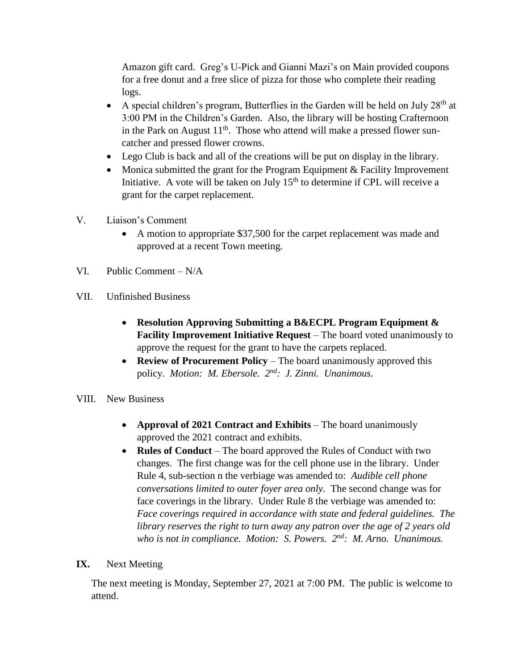Amazon gift card. Greg's U-Pick and Gianni Mazi's on Main provided coupons for a free donut and a free slice of pizza for those who complete their reading logs.

- A special children's program, Butterflies in the Garden will be held on July  $28<sup>th</sup>$  at 3:00 PM in the Children's Garden. Also, the library will be hosting Crafternoon in the Park on August  $11<sup>th</sup>$ . Those who attend will make a pressed flower suncatcher and pressed flower crowns.
- Lego Club is back and all of the creations will be put on display in the library.
- Monica submitted the grant for the Program Equipment  $&$  Facility Improvement Initiative. A vote will be taken on July  $15<sup>th</sup>$  to determine if CPL will receive a grant for the carpet replacement.
- V. Liaison's Comment
	- A motion to appropriate \$37,500 for the carpet replacement was made and approved at a recent Town meeting.
- VI. Public Comment N/A
- VII. Unfinished Business
	- **Resolution Approving Submitting a B&ECPL Program Equipment & Facility Improvement Initiative Request** – The board voted unanimously to approve the request for the grant to have the carpets replaced.
	- **Review of Procurement Policy** The board unanimously approved this policy. *Motion: M. Ebersole. 2nd: J. Zinni. Unanimous.*
- VIII. New Business
	- **Approval of 2021 Contract and Exhibits** The board unanimously approved the 2021 contract and exhibits.
	- **Rules of Conduct** The board approved the Rules of Conduct with two changes. The first change was for the cell phone use in the library. Under Rule 4, sub-section n the verbiage was amended to: *Audible cell phone conversations limited to outer foyer area only.* The second change was for face coverings in the library. Under Rule 8 the verbiage was amended to: *Face coverings required in accordance with state and federal guidelines. The library reserves the right to turn away any patron over the age of 2 years old who is not in compliance. Motion: S. Powers. 2nd: M. Arno. Unanimous.*
- **IX.** Next Meeting

The next meeting is Monday, September 27, 2021 at 7:00 PM. The public is welcome to attend.